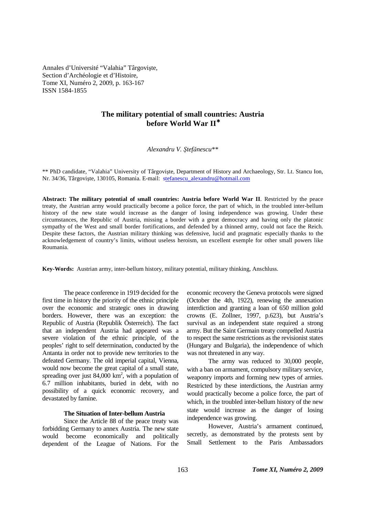Annales d'Université "Valahia" Târgovişte, Section d'Archéologie et d'Histoire, Tome XI, Numéro 2, 2009, p. 163-167 ISSN 1584-1855

# **The military potential of small countries: Austria before World War II**<sup>∗</sup>

*Alexandru V. Ştefănescu\*\**

\*\* PhD candidate, "Valahia" University of Târgovişte, Department of History and Archaeology, Str. Lt. Stancu Ion, Nr. 34/36, Târgovişte, 130105, Romania. E-mail: stefanescu\_alexandru@hotmail.com

**Abstract: The military potential of small countries: Austria before World War II**. Restricted by the peace treaty, the Austrian army would practically become a police force, the part of which, in the troubled inter-bellum history of the new state would increase as the danger of losing independence was growing. Under these circumstances, the Republic of Austria, missing a border with a great democracy and having only the platonic sympathy of the West and small border fortifications, and defended by a thinned army, could not face the Reich. Despite these factors, the Austrian military thinking was defensive, lucid and pragmatic especially thanks to the acknowledgement of country's limits, without useless heroism, un excellent exemple for other small powers like Roumania.

**Key-Words:** Austrian army, inter-bellum history, military potential, military thinking, Anschluss.

The peace conference in 1919 decided for the first time in history the priority of the ethnic principle over the economic and strategic ones in drawing borders. However, there was an exception: the Republic of Austria (Republik Österreich). The fact that an independent Austria had appeared was a severe violation of the ethnic principle, of the peoples' right to self determination, conducted by the Antanta in order not to provide new territories to the defeated Germany. The old imperial capital, Vienna, would now become the great capital of a small state, spreading over just  $84,000 \text{ km}^2$ , with a population of 6.7 million inhabitants, buried in debt, with no possibility of a quick economic recovery, and devastated by famine.

## **The Situation of Inter-bellum Austria**

Since the Article 88 of the peace treaty was forbidding Germany to annex Austria. The new state would become economically and politically dependent of the League of Nations. For the economic recovery the Geneva protocols were signed (October the 4th, 1922), renewing the annexation interdiction and granting a loan of 650 million gold crowns (E. Zollner, 1997, p.623), but Austria's survival as an independent state required a strong army. But the Saint Germain treaty compelled Austria to respect the same restrictions as the revisionist states (Hungary and Bulgaria), the independence of which was not threatened in any way.

 The army was reduced to 30,000 people, with a ban on armament, compulsory military service, weaponry imports and forming new types of armies. Restricted by these interdictions, the Austrian army would practically become a police force, the part of which, in the troubled inter-bellum history of the new state would increase as the danger of losing independence was growing.

However, Austria's armament continued, secretly, as demonstrated by the protests sent by Small Settlement to the Paris Ambassadors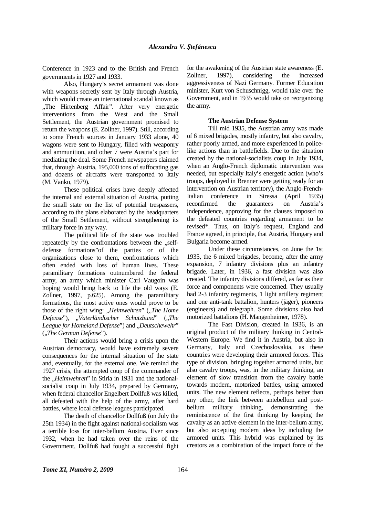Conference in 1923 and to the British and French governments in 1927 and 1933.

 Also, Hungary's secret armament was done with weapons secretly sent by Italy through Austria, which would create an international scandal known as "The Hirtenberg Affair". After very energetic interventions from the West and the Small Settlement, the Austrian government promised to return the weapons (E. Zollner, 1997). Still, according to some French sources in January 1933 alone, 40 wagons were sent to Hungary, filled with weaponry and ammunition, and other 7 were Austria's part for mediating the deal. Some French newspapers claimed that, through Austria, 195,000 tons of suffocating gas and dozens of aircrafts were transported to Italy (M. Vanku, 1979).

 These political crises have deeply affected the internal and external situation of Austria, putting the small state on the list of potential trespassers, according to the plans elaborated by the headquarters of the Small Settlement, without strengthening its military force in any way.

 The political life of the state was troubled repeatedly by the confrontations between the "selfdefense formations"of the parties or of the organizations close to them, confrontations which often ended with loss of human lives. These paramilitary formations outnumbered the federal army, an army which minister Carl Vaugoin was hoping would bring back to life the old ways (E. Zollner, 1997, p.625). Among the paramilitary formations, the most active ones would prove to be those of the right wing: "Heimwehren" ("The Home *Defense*"), "Vaterländischer Schutzbund" ("The League for Homeland Defense") and *.Deutschewehr*" ("*The German Defense*").

 Their actions would bring a crisis upon the Austrian democracy, would have extremely severe consequences for the internal situation of the state and, eventually, for the external one. We remind the 1927 crisis, the attempted coup of the commander of the *"Heimwehren*" in Stiria in 1931 and the nationalsocialist coup in July 1934, prepared by Germany, when federal chancellor Engelbert Dollfuß was killed, all defeated with the help of the army, after hard battles, where local defense leagues participated.

 The death of chancellor Dollfuß (on July the 25th 1934) in the fight against national-socialism was a terrible loss for inter-bellum Austria. Ever since 1932, when he had taken over the reins of the Government, Dollfuß had fought a successful fight for the awakening of the Austrian state awareness (E. Zollner, 1997), considering the increased aggressiveness of Nazi Germany. Former Education minister, Kurt von Schuschnigg, would take over the Government, and in 1935 would take on reorganizing the army.

### **The Austrian Defense System**

 Till mid 1935, the Austrian army was made of 6 mixed brigades, mostly infantry, but also cavalry, rather poorly armed, and more experienced in policelike actions than in battlefields. Due to the situation created by the national-socialists coup in July 1934, when an Anglo-French diplomatic intervention was needed, but especially Italy's energetic action (who's troops, deployed in Brenner were getting ready for an intervention on Austrian territory), the Anglo-French-Italian conference in Stressa (April 1935) reconfirmed the guarantees on Austria's independence, approving for the clauses imposed to the defeated countries regarding armament to be revised\*. Thus, on Italy's request, England and France agreed, in principle, that Austria, Hungary and Bulgaria become armed.

 Under these circumstances, on June the 1st 1935, the 6 mixed brigades, become, after the army expansion, 7 infantry divisions plus an infantry brigade. Later, in 1936, a fast division was also created. The infantry divisions differed, as far as their force and components were concerned. They usually had 2-3 infantry regiments, 1 light artillery regiment and one anti-tank battalion, hunters (jäger), pioneers (engineers) and telegraph. Some divisions also had motorized battalions (H. Mangenheimer, 1978).

 The Fast Division, created in 1936, is an original product of the military thinking in Central-Western Europe. We find it in Austria, but also in Germany, Italy and Czechoslovakia, as these countries were developing their armored forces. This type of division, bringing together armored units, but also cavalry troops, was, in the military thinking, an element of slow transition from the cavalry battle towards modern, motorized battles, using armored units. The new element reflects, perhaps better than any other, the link between antebellum and postbellum military thinking, demonstrating the reminiscence of the first thinking by keeping the cavalry as an active element in the inter-bellum army, but also accepting modern ideas by including the armored units. This hybrid was explained by its creators as a combination of the impact force of the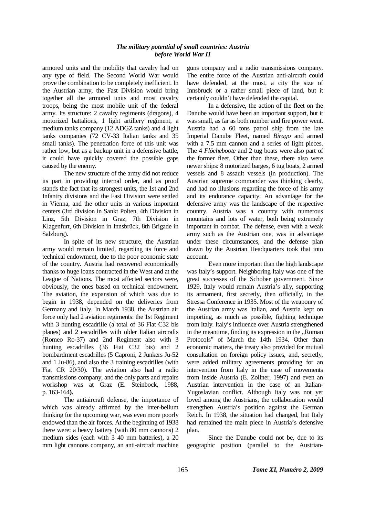### *The military potential of small countries: Austria before World War II*

armored units and the mobility that cavalry had on any type of field. The Second World War would prove the combination to be completely inefficient. In the Austrian army, the Fast Division would bring together all the armored units and most cavalry troops, being the most mobile unit of the federal army. Its structure: 2 cavalry regiments (dragons), 4 motorized battalions, 1 light artillery regiment, a medium tanks company (12 ADGZ tanks) and 4 light tanks companies (72 CV-33 Italian tanks and 35 small tanks). The penetration force of this unit was rather low, but as a backup unit in a defensive battle, it could have quickly covered the possible gaps caused by the enemy.

 The new structure of the army did not reduce its part in providing internal order, and as proof stands the fact that its strongest units, the 1st and 2nd Infantry divisions and the Fast Division were settled in Vienna, and the other units in various important centers (3rd division in Sankt Polten, 4th Division in Linz, 5th Division in Graz, 7th Division in Klagenfurt, 6th Division in Innsbrück, 8th Brigade in Salzburg).

 In spite of its new structure, the Austrian army would remain limited, regarding its force and technical endowment, due to the poor economic state of the country. Austria had recovered economically thanks to huge loans contracted in the West and at the League of Nations. The most affected sectors were, obviously, the ones based on technical endowment. The aviation, the expansion of which was due to begin in 1938, depended on the deliveries from Germany and Italy. In March 1938, the Austrian air force only had 2 aviation regiments: the 1st Regiment with 3 hunting escadrille (a total of 36 Fiat C32 bis planes) and 2 escadrilles with older Italian aircrafts (Romeo Ro-37) and 2nd Regiment also with 3 hunting escadrilles (36 Fiat C32 bis) and 2 bombardment escadrilles (5 Caproni, 2 Junkers Ju-52 and 1 Ju-86), and also the 3 training escadrilles (with Fiat CR 20/30). The aviation also had a radio transmissions company, and the only parts and repairs workshop was at Graz (E. Steinbock, 1988, p. 163-164**).**

 The antiaircraft defense, the importance of which was already affirmed by the inter-bellum thinking for the upcoming war, was even more poorly endowed than the air forces. At the beginning of 1938 there were: a heavy battery (with 80 mm cannons) 2 medium sides (each with 3 40 mm batteries), a 20 mm light cannons company, an anti-aircraft machine

guns company and a radio transmissions company. The entire force of the Austrian anti-aircraft could have defended, at the most, a city the size of Innsbruck or a rather small piece of land, but it certainly couldn't have defended the capital.

 In a defensive, the action of the fleet on the Danube would have been an important support, but it was small, as far as both number and fire power went. Austria had a 60 tons patrol ship from the late Imperial Danube Fleet, named *Birago* and armed with a 7.5 mm cannon and a series of light pieces. The 4 *Flöcheboote* and 2 tug boats were also part of the former fleet. Other than these, there also were newer ships: 8 motorized barges, 6 tug boats, 2 armed vessels and 8 assault vessels (in production). The Austrian supreme commander was thinking clearly, and had no illusions regarding the force of his army and its endurance capacity. An advantage for the defensive army was the landscape of the respective country. Austria was a country with numerous mountains and lots of water, both being extremely important in combat. The defense, even with a weak army such as the Austrian one, was in advantage under these circumstances, and the defense plan drawn by the Austrian Headquarters took that into account.

 Even more important than the high landscape was Italy's support. Neighboring Italy was one of the great successes of the Schober government. Since 1929, Italy would remain Austria's ally, supporting its armament, first secretly, then officially, in the Stressa Conference in 1935. Most of the weaponry of the Austrian army was Italian, and Austria kept on importing, as much as possible, fighting technique from Italy. Italy's influence over Austria strengthened in the meantime, finding its expression in the "Roman Protocols" of March the 14th 1934. Other than economic matters, the treaty also provided for mutual consultation on foreign policy issues, and, secretly, were added military agreements providing for an intervention from Italy in the case of movements from inside Austria (E. Zollner, 1997) and even an Austrian intervention in the case of an Italian-Yugoslavian conflict. Although Italy was not yet loved among the Austrians, the collaboration would strengthen Austria's position against the German Reich. In 1938, the situation had changed, but Italy had remained the main piece in Austria's defensive plan.

 Since the Danube could not be, due to its geographic position (parallel to the Austrian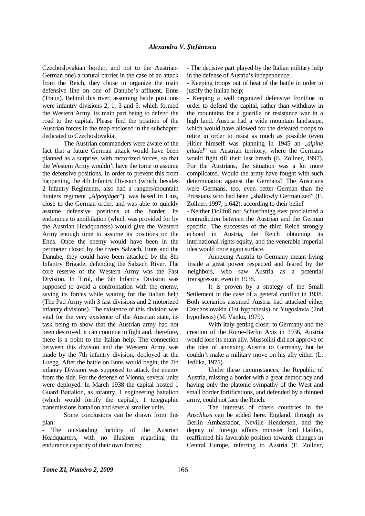Czechoslovakian border, and not to the Austrian-German one) a natural barrier in the case of an attack from the Reich, they chose to organize the main defensive line on one of Danube's affluent, Enns (Traun). Behind this river, assuming battle positions were infantry divisions 2, 1, 3 and 5, which formed the Western Army, its main part being to defend the road to the capital. Please find the position of the Austrian forces in the map enclosed in the subchapter dedicated to Czechoslovakia.

 The Austrian commanders were aware of the fact that a future German attack would have been planned as a surprise, with motorized forces, so that the Western Army wouldn't have the tome to assume the defensive positions. In order to prevent this from happening, the 4th Infantry Division (which, besides 2 Infantry Regiments, also had a rangers/mountain hunters regiment , *Alpenjäger*"), was based in Linz, close to the German order, and was able to quickly assume defensive positions at the border. Its endurance to annihilation (which was provided for by the Austrian Headquarters) would give the Western Army enough time to assume its positions on the Enns. Once the enemy would have been in the perimeter closed by the rivers Salzach, Enns and the Danube, they could have been attacked by the 8th Infantry Brigade, defending the Salzach River. The core reserve of the Western Army was the Fast Division. In Tirol, the 6th Infantry Division was supposed to avoid a confrontation with the enemy, saving its forces while waiting for the Italian help (The Pad Army with 3 fast divisions and 2 motorized infantry divisions). The existence of this division was vital for the very existence of the Austrian state, its task being to show that the Austrian army had not been destroyed, it can continue to fight and, therefore, there is a point to the Italian help. The connection between this division and the Western Army was made by the 7th infantry division, deployed at the Luegg. After the battle on Enns would begin, the 7th infantry Division was supposed to attack the enemy from the side. For the defense of Vienna, several units were deployed. In March 1938 the capital hosted 1 Guard Battalion, as infantry, 1 engineering battalion (which would fortify the capital), 1 telegraphic transmissions battalion and several smaller units.

 Some conclusions can be drawn from this plan:

- The outstanding lucidity of the Austrian Headquarters, with no illusions regarding the endurance capacity of their own forces;

- The decisive part played by the Italian military help in the defense of Austria's independence;

- Keeping troops out of heat of the battle in order to justify the Italian help;

- Keeping a well organized defensive frontline in order to defend the capital, rather than withdraw in the mountains for a guerilla or resistance war in a high land. Austria had a wide mountain landscape, which would have allowed for the defeated troops to retire in order to resist as much as possible (even Hitler himself was planning in 1945 an *"alpine citadel*" on Austrian territory, where the Germans would fight till their last breath (E. Zollner, 1997). For the Austrians, the situation was a lot more complicated. Would the army have fought with such determination against the Germans? The Austrians were Germans, too, even better German than the Prussians who had been "shallowly Germanized" (E. Zollner, 1997, p.642), according to their belief

- Neither Dollfuß nor Schuschnigg ever proclaimed a contradiction between the Austrian and the German specific. The successes of the third Reich strongly echoed in Austria, the Reich obtaining its international rights equity, and the venerable imperial idea would once again surface.

 Annexing Austria to Germany meant living inside a great power respected and feared by the neighbors, who saw Austria as a potential transgressor, even in 1938.

 It is proven by a strategy of the Small Settlement in the case of a general conflict in 1938. Both scenarios assumed Austria had attacked either Czechoslovakia (1st hypothesis) or Yugoslavia (2nd hypothesis) (M. Vanku, 1979).

 With Italy getting closer to Germany and the creation of the Rome-Berlin Axis in 1936, Austria would lose its main ally. Mussolini did not approve of the idea of annexing Austria to Germany, but he couldn't make a military move on his ally either (L. Jedlika, 1975).

 Under these circumstances, the Republic of Austria, missing a border with a great democracy and having only the platonic sympathy of the West and small border fortifications, and defended by a thinned army, could not face the Reich.

 The interests of others countries in the *Anschluss* can be added here. England, through its Berlin Ambassador, Neville Henderson, and the deputy of foreign affairs minister lord Halifax, reaffirmed his favorable position towards changes in Central Europe, referring to Austria (E. Zollner,